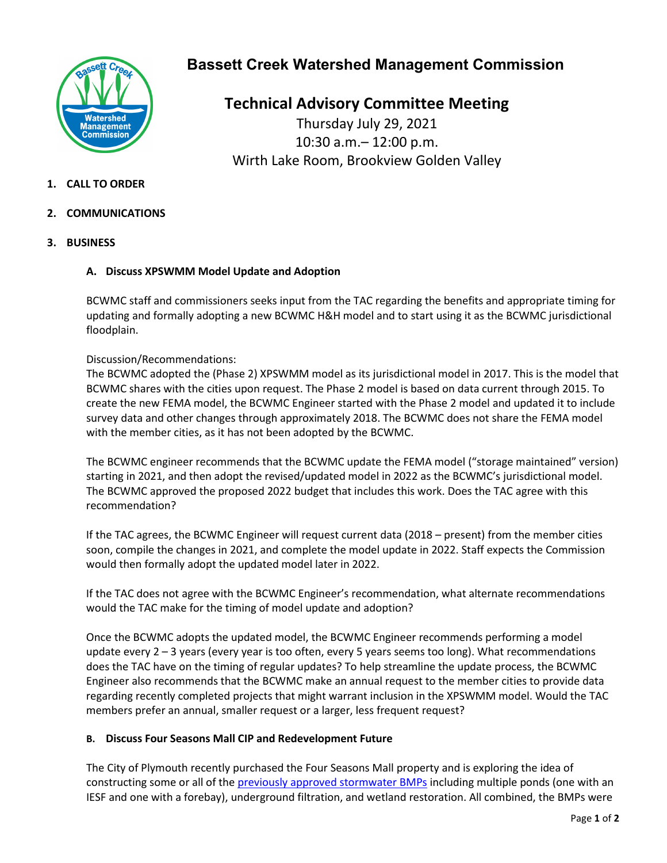

# **Bassett Creek Watershed Management Commission**

**Technical Advisory Committee Meeting** Thursday July 29, 2021 10:30 a.m.– 12:00 p.m. Wirth Lake Room, Brookview Golden Valley

# **1. CALL TO ORDER**

- **2. COMMUNICATIONS**
- **3. BUSINESS**

# **A. Discuss XPSWMM Model Update and Adoption**

BCWMC staff and commissioners seeks input from the TAC regarding the benefits and appropriate timing for updating and formally adopting a new BCWMC H&H model and to start using it as the BCWMC jurisdictional floodplain.

### Discussion/Recommendations:

The BCWMC adopted the (Phase 2) XPSWMM model as its jurisdictional model in 2017. This is the model that BCWMC shares with the cities upon request. The Phase 2 model is based on data current through 2015. To create the new FEMA model, the BCWMC Engineer started with the Phase 2 model and updated it to include survey data and other changes through approximately 2018. The BCWMC does not share the FEMA model with the member cities, as it has not been adopted by the BCWMC.

The BCWMC engineer recommends that the BCWMC update the FEMA model ("storage maintained" version) starting in 2021, and then adopt the revised/updated model in 2022 as the BCWMC's jurisdictional model. The BCWMC approved the proposed 2022 budget that includes this work. Does the TAC agree with this recommendation?

If the TAC agrees, the BCWMC Engineer will request current data (2018 – present) from the member cities soon, compile the changes in 2021, and complete the model update in 2022. Staff expects the Commission would then formally adopt the updated model later in 2022.

If the TAC does not agree with the BCWMC Engineer's recommendation, what alternate recommendations would the TAC make for the timing of model update and adoption?

Once the BCWMC adopts the updated model, the BCWMC Engineer recommends performing a model update every 2 – 3 years (every year is too often, every 5 years seems too long). What recommendations does the TAC have on the timing of regular updates? To help streamline the update process, the BCWMC Engineer also recommends that the BCWMC make an annual request to the member cities to provide data regarding recently completed projects that might warrant inclusion in the XPSWMM model. Would the TAC members prefer an annual, smaller request or a larger, less frequent request?

### **B. Discuss Four Seasons Mall CIP and Redevelopment Future**

The City of Plymouth recently purchased the Four Seasons Mall property and is exploring the idea of constructing some or all of the [previously approved stormwater BMPs](https://www.bassettcreekwmo.org/application/files/4215/8648/1052/Item_5A_Dominium_Project_Comm_Engineer_Memo.pdf) including multiple ponds (one with an IESF and one with a forebay), underground filtration, and wetland restoration. All combined, the BMPs were